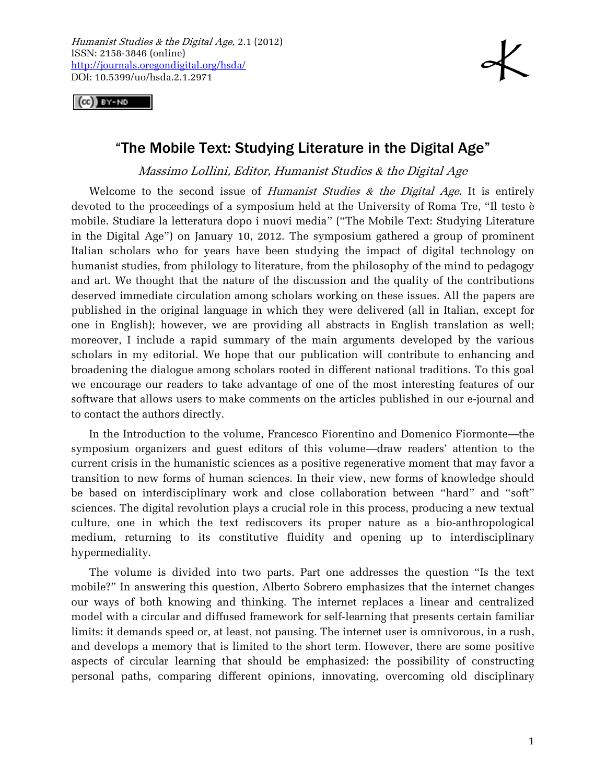

 $(G)$  by -ND

## "The Mobile Text: Studying Literature in the Digital Age"

Massimo Lollini, Editor, Humanist Studies & the Digital Age

Welcome to the second issue of *Humanist Studies & the Digital Age*. It is entirely devoted to the proceedings of a symposium held at the University of Roma Tre, "Il testo è mobile. Studiare la letteratura dopo i nuovi media" ("The Mobile Text: Studying Literature in the Digital Age") on January 10, 2012. The symposium gathered a group of prominent Italian scholars who for years have been studying the impact of digital technology on humanist studies, from philology to literature, from the philosophy of the mind to pedagogy and art. We thought that the nature of the discussion and the quality of the contributions deserved immediate circulation among scholars working on these issues. All the papers are published in the original language in which they were delivered (all in Italian, except for one in English); however, we are providing all abstracts in English translation as well; moreover, I include a rapid summary of the main arguments developed by the various scholars in my editorial. We hope that our publication will contribute to enhancing and broadening the dialogue among scholars rooted in different national traditions. To this goal we encourage our readers to take advantage of one of the most interesting features of our software that allows users to make comments on the articles published in our e-journal and to contact the authors directly.

In the Introduction to the volume, Francesco Fiorentino and Domenico Fiormonte—the symposium organizers and guest editors of this volume—draw readers' attention to the current crisis in the humanistic sciences as a positive regenerative moment that may favor a transition to new forms of human sciences. In their view, new forms of knowledge should be based on interdisciplinary work and close collaboration between "hard" and "soft" sciences. The digital revolution plays a crucial role in this process, producing a new textual culture, one in which the text rediscovers its proper nature as a bio-anthropological medium, returning to its constitutive fluidity and opening up to interdisciplinary hypermediality.

The volume is divided into two parts. Part one addresses the question "Is the text mobile?" In answering this question, Alberto Sobrero emphasizes that the internet changes our ways of both knowing and thinking. The internet replaces a linear and centralized model with a circular and diffused framework for self-learning that presents certain familiar limits: it demands speed or, at least, not pausing. The internet user is omnivorous, in a rush, and develops a memory that is limited to the short term. However, there are some positive aspects of circular learning that should be emphasized: the possibility of constructing personal paths, comparing different opinions, innovating, overcoming old disciplinary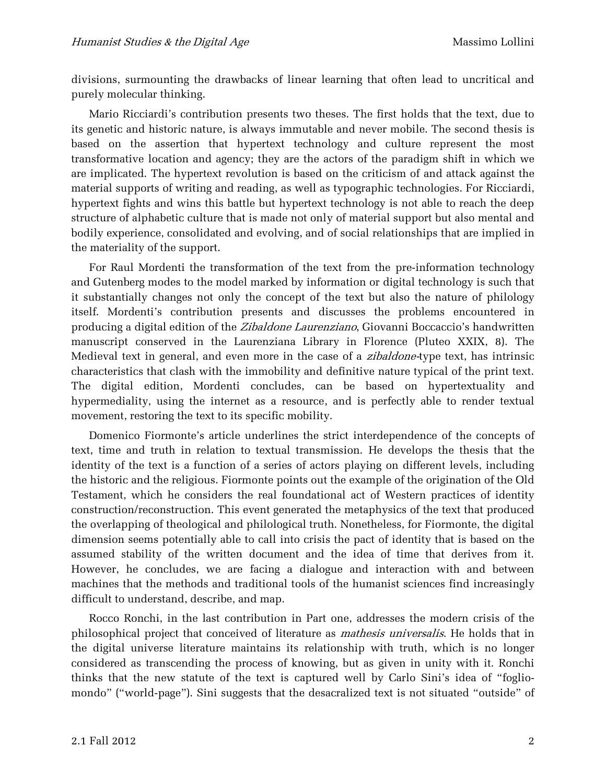divisions, surmounting the drawbacks of linear learning that often lead to uncritical and purely molecular thinking.

Mario Ricciardi's contribution presents two theses. The first holds that the text, due to its genetic and historic nature, is always immutable and never mobile. The second thesis is based on the assertion that hypertext technology and culture represent the most transformative location and agency; they are the actors of the paradigm shift in which we are implicated. The hypertext revolution is based on the criticism of and attack against the material supports of writing and reading, as well as typographic technologies. For Ricciardi, hypertext fights and wins this battle but hypertext technology is not able to reach the deep structure of alphabetic culture that is made not only of material support but also mental and bodily experience, consolidated and evolving, and of social relationships that are implied in the materiality of the support.

For Raul Mordenti the transformation of the text from the pre-information technology and Gutenberg modes to the model marked by information or digital technology is such that it substantially changes not only the concept of the text but also the nature of philology itself. Mordenti's contribution presents and discusses the problems encountered in producing a digital edition of the Zibaldone Laurenziano, Giovanni Boccaccio's handwritten manuscript conserved in the Laurenziana Library in Florence (Pluteo XXIX, 8). The Medieval text in general, and even more in the case of a *zibaldone*-type text, has intrinsic characteristics that clash with the immobility and definitive nature typical of the print text. The digital edition, Mordenti concludes, can be based on hypertextuality and hypermediality, using the internet as a resource, and is perfectly able to render textual movement, restoring the text to its specific mobility.

Domenico Fiormonte's article underlines the strict interdependence of the concepts of text, time and truth in relation to textual transmission. He develops the thesis that the identity of the text is a function of a series of actors playing on different levels, including the historic and the religious. Fiormonte points out the example of the origination of the Old Testament, which he considers the real foundational act of Western practices of identity construction/reconstruction. This event generated the metaphysics of the text that produced the overlapping of theological and philological truth. Nonetheless, for Fiormonte, the digital dimension seems potentially able to call into crisis the pact of identity that is based on the assumed stability of the written document and the idea of time that derives from it. However, he concludes, we are facing a dialogue and interaction with and between machines that the methods and traditional tools of the humanist sciences find increasingly difficult to understand, describe, and map.

Rocco Ronchi, in the last contribution in Part one, addresses the modern crisis of the philosophical project that conceived of literature as mathesis universalis. He holds that in the digital universe literature maintains its relationship with truth, which is no longer considered as transcending the process of knowing, but as given in unity with it. Ronchi thinks that the new statute of the text is captured well by Carlo Sini's idea of "fogliomondo" ("world-page"). Sini suggests that the desacralized text is not situated "outside" of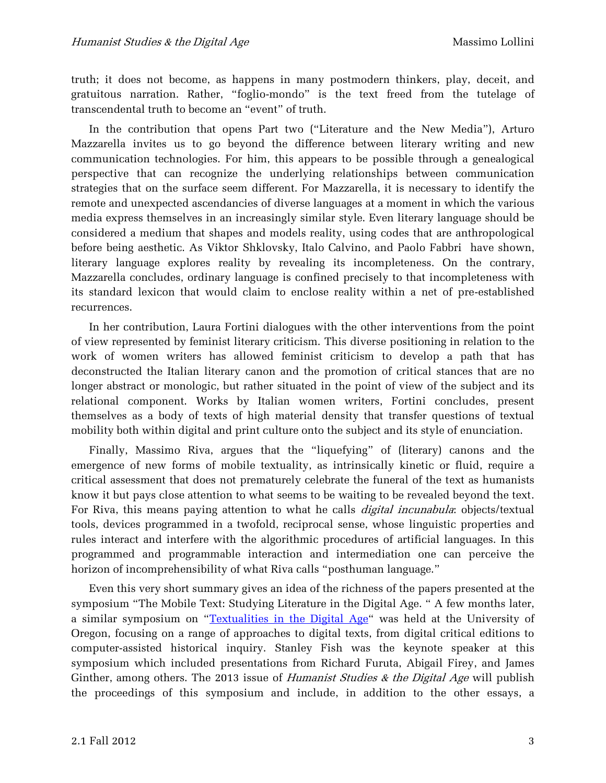truth; it does not become, as happens in many postmodern thinkers, play, deceit, and gratuitous narration. Rather, "foglio-mondo" is the text freed from the tutelage of transcendental truth to become an "event" of truth.

In the contribution that opens Part two ("Literature and the New Media"), Arturo Mazzarella invites us to go beyond the difference between literary writing and new communication technologies. For him, this appears to be possible through a genealogical perspective that can recognize the underlying relationships between communication strategies that on the surface seem different. For Mazzarella, it is necessary to identify the remote and unexpected ascendancies of diverse languages at a moment in which the various media express themselves in an increasingly similar style. Even literary language should be considered a medium that shapes and models reality, using codes that are anthropological before being aesthetic. As Viktor Shklovsky, Italo Calvino, and Paolo Fabbri have shown, literary language explores reality by revealing its incompleteness. On the contrary, Mazzarella concludes, ordinary language is confined precisely to that incompleteness with its standard lexicon that would claim to enclose reality within a net of pre-established recurrences.

In her contribution, Laura Fortini dialogues with the other interventions from the point of view represented by feminist literary criticism. This diverse positioning in relation to the work of women writers has allowed feminist criticism to develop a path that has deconstructed the Italian literary canon and the promotion of critical stances that are no longer abstract or monologic, but rather situated in the point of view of the subject and its relational component. Works by Italian women writers, Fortini concludes, present themselves as a body of texts of high material density that transfer questions of textual mobility both within digital and print culture onto the subject and its style of enunciation.

Finally, Massimo Riva, argues that the "liquefying" of (literary) canons and the emergence of new forms of mobile textuality, as intrinsically kinetic or fluid, require a critical assessment that does not prematurely celebrate the funeral of the text as humanists know it but pays close attention to what seems to be waiting to be revealed beyond the text. For Riva, this means paying attention to what he calls *digital incunabula*: objects/textual tools, devices programmed in a twofold, reciprocal sense, whose linguistic properties and rules interact and interfere with the algorithmic procedures of artificial languages. In this programmed and programmable interaction and intermediation one can perceive the horizon of incomprehensibility of what Riva calls "posthuman language."

Even this very short summary gives an idea of the richness of the papers presented at the symposium "The Mobile Text: Studying Literature in the Digital Age. " A few months later, a similar symposium on "[Textualities in the Digital Age](http://oregondigital.org/digcol/textualities/speakers.html)" was held at the University of Oregon, focusing on a range of approaches to digital texts, from digital critical editions to computer-assisted historical inquiry. Stanley Fish was the keynote speaker at this symposium which included presentations from Richard Furuta, Abigail Firey, and James Ginther, among others. The 2013 issue of Humanist Studies & the Digital Age will publish the proceedings of this symposium and include, in addition to the other essays, a